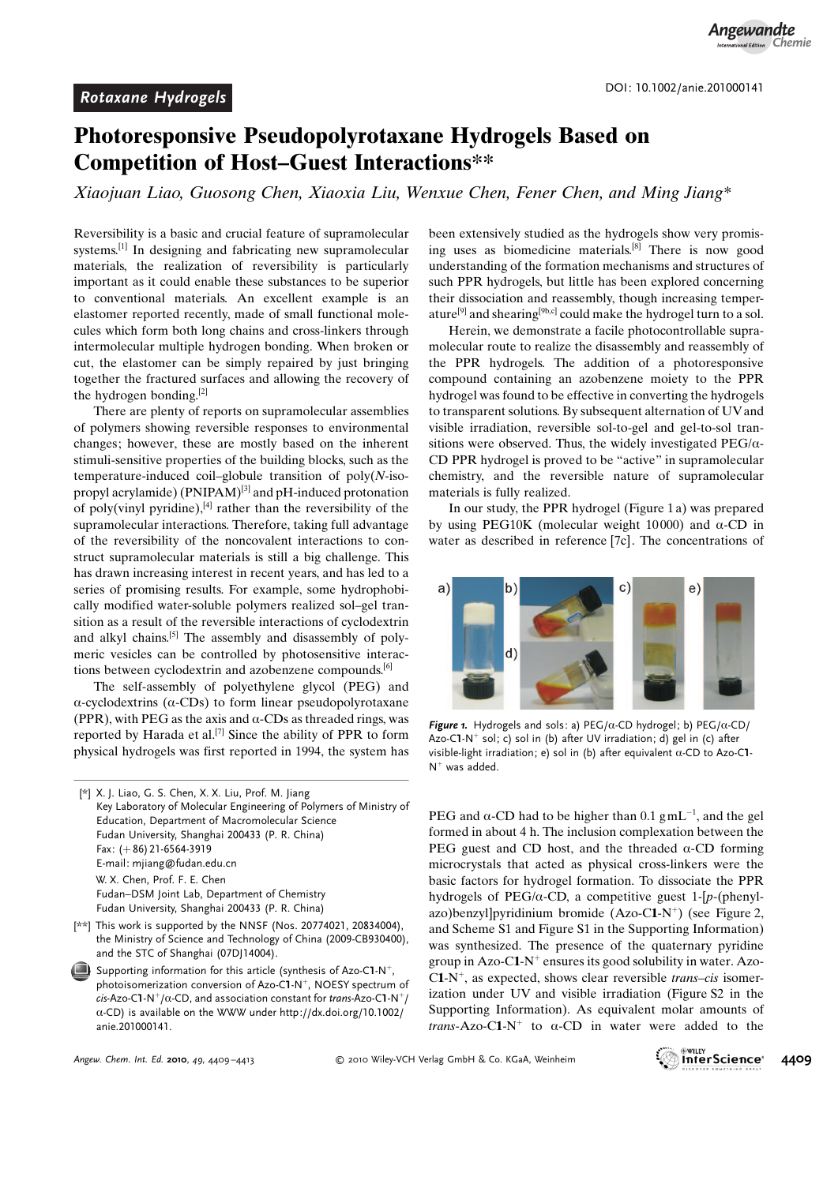## Photoresponsive Pseudopolyrotaxane Hydrogels Based on Competition of Host–Guest Interactions\*\*

Xiaojuan Liao, Guosong Chen, Xiaoxia Liu, Wenxue Chen, Fener Chen, and Ming Jiang\*

Reversibility is a basic and crucial feature of supramolecular systems.[1] In designing and fabricating new supramolecular materials, the realization of reversibility is particularly important as it could enable these substances to be superior to conventional materials. An excellent example is an elastomer reported recently, made of small functional molecules which form both long chains and cross-linkers through intermolecular multiple hydrogen bonding. When broken or cut, the elastomer can be simply repaired by just bringing together the fractured surfaces and allowing the recovery of the hydrogen bonding.[2]

There are plenty of reports on supramolecular assemblies of polymers showing reversible responses to environmental changes; however, these are mostly based on the inherent stimuli-sensitive properties of the building blocks, such as the temperature-induced coil–globule transition of  $poly(N-iso$ propyl acrylamide) (PNIPAM)<sup>[3]</sup> and pH-induced protonation of poly(vinyl pyridine), $[4]$  rather than the reversibility of the supramolecular interactions. Therefore, taking full advantage of the reversibility of the noncovalent interactions to construct supramolecular materials is still a big challenge. This has drawn increasing interest in recent years, and has led to a series of promising results. For example, some hydrophobically modified water-soluble polymers realized sol–gel transition as a result of the reversible interactions of cyclodextrin and alkyl chains.<sup>[5]</sup> The assembly and disassembly of polymeric vesicles can be controlled by photosensitive interactions between cyclodextrin and azobenzene compounds.[6]

The self-assembly of polyethylene glycol (PEG) and  $\alpha$ -cyclodextrins ( $\alpha$ -CDs) to form linear pseudopolyrotaxane (PPR), with PEG as the axis and  $\alpha$ -CDs as threaded rings, was reported by Harada et al.<sup>[7]</sup> Since the ability of PPR to form physical hydrogels was first reported in 1994, the system has

[\*] X. J. Liao, G. S. Chen, X. X. Liu, Prof. M. Jiang Key Laboratory of Molecular Engineering of Polymers of Ministry of Education, Department of Macromolecular Science Fudan University, Shanghai 200433 (P. R. China) Fax:  $(+ 86)$  21-6564-3919 E-mail: mjiang@fudan.edu.cn W. X. Chen, Prof. F. E. Chen Fudan–DSM Joint Lab, Department of Chemistry Fudan University, Shanghai 200433 (P. R. China)

- [\*\*] This work is supported by the NNSF (Nos. 20774021, 20834004), the Ministry of Science and Technology of China (2009-CB930400), and the STC of Shanghai (07DJ14004).
- Supporting information for this article (synthesis of Azo-C1-N<sup>+</sup>, photoisomerization conversion of Azo-C1-N<sup>+</sup>, NOESY spectrum of  $cis$ -Azo-C1-N<sup>+</sup>/ $\alpha$ -CD, and association constant for trans-Azo-C1-N<sup>+</sup>/  $\alpha$ -CD) is available on the WWW under [http://dx.doi.org/10.1002/](http://dx.doi.org/10.1002/anie.201000141) [anie.201000141](http://dx.doi.org/10.1002/anie.201000141).

been extensively studied as the hydrogels show very promising uses as biomedicine materials.<sup>[8]</sup> There is now good understanding of the formation mechanisms and structures of such PPR hydrogels, but little has been explored concerning their dissociation and reassembly, though increasing temperature<sup>[9]</sup> and shearing<sup>[9b,c]</sup> could make the hydrogel turn to a sol.

Herein, we demonstrate a facile photocontrollable supramolecular route to realize the disassembly and reassembly of the PPR hydrogels. The addition of a photoresponsive compound containing an azobenzene moiety to the PPR hydrogel was found to be effective in converting the hydrogels to transparent solutions. By subsequent alternation of UV and visible irradiation, reversible sol-to-gel and gel-to-sol transitions were observed. Thus, the widely investigated  $PEG/\alpha$ -CD PPR hydrogel is proved to be "active" in supramolecular chemistry, and the reversible nature of supramolecular materials is fully realized.

In our study, the PPR hydrogel (Figure 1 a) was prepared by using PEG10K (molecular weight 10000) and  $\alpha$ -CD in water as described in reference [7c]. The concentrations of



Figure 1. Hydrogels and sols: a) PEG/ $\alpha$ -CD hydrogel; b) PEG/ $\alpha$ -CD/ Azo-C1-N<sup>+</sup> sol; c) sol in (b) after UV irradiation; d) gel in (c) after visible-light irradiation; e) sol in (b) after equivalent  $\alpha$ -CD to Azo-C1- $N^+$  was added.

PEG and  $\alpha$ -CD had to be higher than 0.1 gmL<sup>-1</sup>, and the gel formed in about 4 h. The inclusion complexation between the PEG guest and CD host, and the threaded  $\alpha$ -CD forming microcrystals that acted as physical cross-linkers were the basic factors for hydrogel formation. To dissociate the PPR hydrogels of PEG/ $\alpha$ -CD, a competitive guest 1-[p-(phenylazo)benzyl]pyridinium bromide  $(Azo-C1-N^+)$  (see Figure 2, and Scheme S1 and Figure S1 in the Supporting Information) was synthesized. The presence of the quaternary pyridine group in Azo-C1- $N^+$  ensures its good solubility in water. Azo- $C1-N^+$ , as expected, shows clear reversible *trans–cis* isomerization under UV and visible irradiation (Figure S2 in the Supporting Information). As equivalent molar amounts of *trans*-Azo-C1-N<sup>+</sup> to  $\alpha$ -CD in water were added to the

Angew. Chem. Int. Ed. 2010, 49, 4409-4413

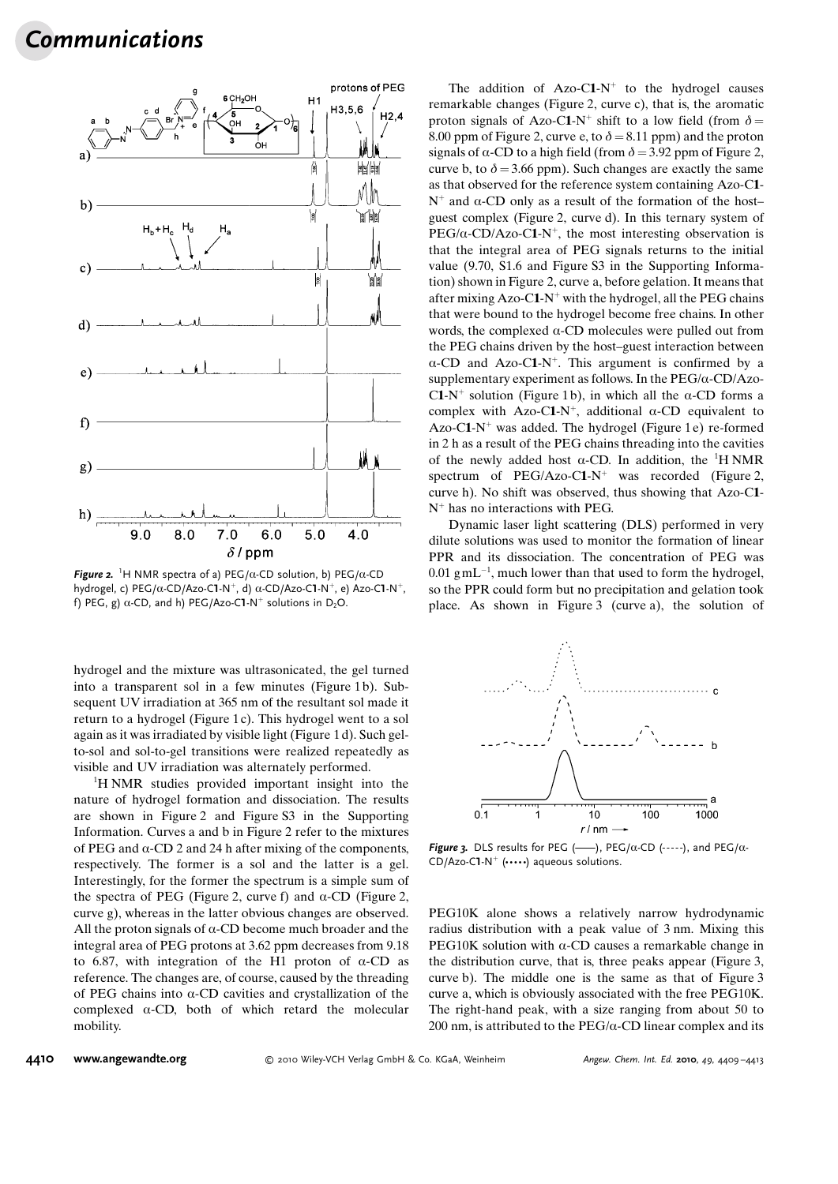## Communications



Figure 2. <sup>1</sup>H NMR spectra of a) PEG/ $\alpha$ -CD solution, b) PEG/ $\alpha$ -CD hydrogel, c) PEG/ $\alpha$ -CD/Azo-C1-N<sup>+</sup>, d)  $\alpha$ -CD/Azo-C1-N<sup>+</sup>, e) Azo-C1-N<sup>+</sup>, f) PEG, g)  $\alpha$ -CD, and h) PEG/Azo-C1-N<sup>+</sup> solutions in D<sub>2</sub>O.

hydrogel and the mixture was ultrasonicated, the gel turned into a transparent sol in a few minutes (Figure 1 b). Subsequent UV irradiation at 365 nm of the resultant sol made it return to a hydrogel (Figure 1c). This hydrogel went to a sol again as it was irradiated by visible light (Figure 1 d). Such gelto-sol and sol-to-gel transitions were realized repeatedly as visible and UV irradiation was alternately performed.

<sup>1</sup>H NMR studies provided important insight into the nature of hydrogel formation and dissociation. The results are shown in Figure 2 and Figure S3 in the Supporting Information. Curves a and b in Figure 2 refer to the mixtures of PEG and  $\alpha$ -CD 2 and 24 h after mixing of the components, respectively. The former is a sol and the latter is a gel. Interestingly, for the former the spectrum is a simple sum of the spectra of PEG (Figure 2, curve f) and  $\alpha$ -CD (Figure 2, curve g), whereas in the latter obvious changes are observed. All the proton signals of  $\alpha$ -CD become much broader and the integral area of PEG protons at 3.62 ppm decreases from 9.18 to 6.87, with integration of the H1 proton of  $\alpha$ -CD as reference. The changes are, of course, caused by the threading of PEG chains into  $\alpha$ -CD cavities and crystallization of the complexed  $\alpha$ -CD, both of which retard the molecular mobility.

The addition of  $Azo-C1-N^+$  to the hydrogel causes remarkable changes (Figure 2, curve c), that is, the aromatic proton signals of Azo-C1-N<sup>+</sup> shift to a low field (from  $\delta =$ 8.00 ppm of Figure 2, curve e, to  $\delta = 8.11$  ppm) and the proton signals of  $\alpha$ -CD to a high field (from  $\delta = 3.92$  ppm of Figure 2, curve b, to  $\delta = 3.66$  ppm). Such changes are exactly the same as that observed for the reference system containing Azo-C1-  $N^+$  and  $\alpha$ -CD only as a result of the formation of the host– guest complex (Figure 2, curve d). In this ternary system of  $PEG/\alpha$ -CD/Azo-C1-N<sup>+</sup>, the most interesting observation is that the integral area of PEG signals returns to the initial value (9.70, S1.6 and Figure S3 in the Supporting Information) shown in Figure 2, curve a, before gelation. It means that after mixing Azo-C1- $N^+$  with the hydrogel, all the PEG chains that were bound to the hydrogel become free chains. In other words, the complexed  $\alpha$ -CD molecules were pulled out from the PEG chains driven by the host–guest interaction between  $\alpha$ -CD and Azo-C1-N<sup>+</sup>. This argument is confirmed by a supplementary experiment as follows. In the  $PEG/\alpha$ -CD/Azo-C1-N<sup>+</sup> solution (Figure 1b), in which all the  $\alpha$ -CD forms a complex with Azo-C1-N<sup>+</sup>, additional  $\alpha$ -CD equivalent to Azo-C1- $N^+$  was added. The hydrogel (Figure 1 e) re-formed in 2 h as a result of the PEG chains threading into the cavities of the newly added host  $\alpha$ -CD. In addition, the <sup>1</sup>H NMR spectrum of  $PEG/Azo-C1-N^+$  was recorded (Figure 2, curve h). No shift was observed, thus showing that Azo-C1-  $N^+$  has no interactions with PEG.

Dynamic laser light scattering (DLS) performed in very dilute solutions was used to monitor the formation of linear PPR and its dissociation. The concentration of PEG was  $0.01$  gmL<sup>-1</sup>, much lower than that used to form the hydrogel, so the PPR could form but no precipitation and gelation took place. As shown in Figure 3 (curve a), the solution of



Figure 3. DLS results for PEG (-), PEG/ $\alpha$ -CD (----), and PEG/ $\alpha$ - $CD/Azo-C1-N^{+}$  (……) aqueous solutions.

PEG10K alone shows a relatively narrow hydrodynamic radius distribution with a peak value of 3 nm. Mixing this PEG10K solution with  $\alpha$ -CD causes a remarkable change in the distribution curve, that is, three peaks appear (Figure 3, curve b). The middle one is the same as that of Figure 3 curve a, which is obviously associated with the free PEG10K. The right-hand peak, with a size ranging from about 50 to 200 nm, is attributed to the  $PEG/\alpha$ -CD linear complex and its

## 4410 [www.angewandte.org](http://www.angewandte.org)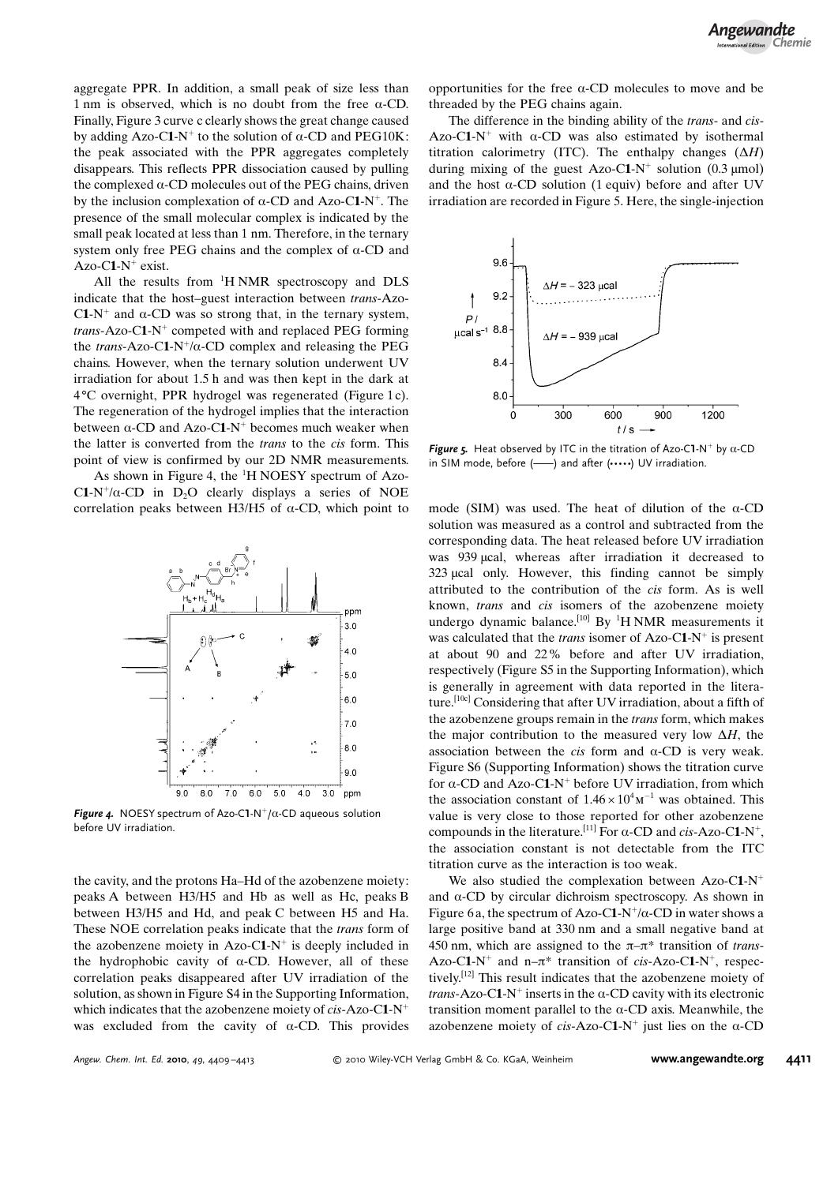aggregate PPR. In addition, a small peak of size less than 1 nm is observed, which is no doubt from the free  $\alpha$ -CD. Finally, Figure 3 curve c clearly shows the great change caused by adding Azo-C1-N<sup>+</sup> to the solution of  $\alpha$ -CD and PEG10K: the peak associated with the PPR aggregates completely disappears. This reflects PPR dissociation caused by pulling the complexed  $\alpha$ -CD molecules out of the PEG chains, driven by the inclusion complexation of  $\alpha$ -CD and Azo-C1-N<sup>+</sup>. The presence of the small molecular complex is indicated by the small peak located at less than 1 nm. Therefore, in the ternary system only free PEG chains and the complex of  $\alpha$ -CD and Azo-C1- $N^+$  exist.

All the results from <sup>1</sup>H NMR spectroscopy and DLS indicate that the host–guest interaction between trans-Azo-C1-N<sup>+</sup> and  $\alpha$ -CD was so strong that, in the ternary system, trans-Azo-C1-N<sup>+</sup> competed with and replaced PEG forming the trans-Azo-C1-N<sup>+</sup>/ $\alpha$ -CD complex and releasing the PEG chains. However, when the ternary solution underwent UV irradiation for about 1.5 h and was then kept in the dark at 48C overnight, PPR hydrogel was regenerated (Figure 1 c). The regeneration of the hydrogel implies that the interaction between  $\alpha$ -CD and Azo-C1-N<sup>+</sup> becomes much weaker when the latter is converted from the trans to the cis form. This point of view is confirmed by our 2D NMR measurements.

As shown in Figure 4, the  ${}^{1}H$  NOESY spectrum of Azo-C1-N<sup>+</sup>/ $\alpha$ -CD in D<sub>2</sub>O clearly displays a series of NOE correlation peaks between H3/H5 of  $\alpha$ -CD, which point to



Figure 4. NOESY spectrum of Azo-C1-N<sup>+</sup>/ $\alpha$ -CD aqueous solution before UV irradiation.

the cavity, and the protons Ha–Hd of the azobenzene moiety: peaks A between H3/H5 and Hb as well as Hc, peaks B between H3/H5 and Hd, and peak C between H5 and Ha. These NOE correlation peaks indicate that the trans form of the azobenzene moiety in Azo-C1-N<sup>+</sup> is deeply included in the hydrophobic cavity of  $\alpha$ -CD. However, all of these correlation peaks disappeared after UV irradiation of the solution, as shown in Figure S4 in the Supporting Information, which indicates that the azobenzene moiety of  $cis$ -Azo-C1-N<sup>+</sup> was excluded from the cavity of  $\alpha$ -CD. This provides

opportunities for the free  $\alpha$ -CD molecules to move and be threaded by the PEG chains again.

The difference in the binding ability of the *trans*- and *cis*-Azo-C1-N<sup>+</sup> with  $\alpha$ -CD was also estimated by isothermal titration calorimetry (ITC). The enthalpy changes  $(\Delta H)$ during mixing of the guest Azo-C1-N<sup>+</sup> solution (0.3  $\mu$ mol) and the host  $\alpha$ -CD solution (1 equiv) before and after UV irradiation are recorded in Figure 5. Here, the single-injection



Figure 5. Heat observed by ITC in the titration of Azo-C1-N<sup>+</sup> by  $\alpha$ -CD in SIM mode, before  $($ ---) and after  $($ .... $)$  UV irradiation.

mode (SIM) was used. The heat of dilution of the  $\alpha$ -CD solution was measured as a control and subtracted from the corresponding data. The heat released before UV irradiation was 939 µcal, whereas after irradiation it decreased to 323 ucal only. However, this finding cannot be simply attributed to the contribution of the cis form. As is well known, trans and cis isomers of the azobenzene moiety undergo dynamic balance.<sup>[10]</sup> By <sup>1</sup>H NMR measurements it was calculated that the *trans* isomer of Azo-C1-N<sup>+</sup> is present at about 90 and 22% before and after UV irradiation, respectively (Figure S5 in the Supporting Information), which is generally in agreement with data reported in the literature.[10c] Considering that after UV irradiation, about a fifth of the azobenzene groups remain in the trans form, which makes the major contribution to the measured very low  $\Delta H$ , the association between the *cis* form and  $\alpha$ -CD is very weak. Figure S6 (Supporting Information) shows the titration curve for  $\alpha$ -CD and Azo-C1-N<sup>+</sup> before UV irradiation, from which the association constant of  $1.46 \times 10^4$  m<sup>-1</sup> was obtained. This value is very close to those reported for other azobenzene compounds in the literature.<sup>[11]</sup> For  $\alpha$ -CD and cis-Azo-C1-N<sup>+</sup>, the association constant is not detectable from the ITC titration curve as the interaction is too weak.

We also studied the complexation between  $Azo-C1-N^+$ and  $\alpha$ -CD by circular dichroism spectroscopy. As shown in Figure 6 a, the spectrum of Azo-C1-N<sup>+</sup>/ $\alpha$ -CD in water shows a large positive band at 330 nm and a small negative band at 450 nm, which are assigned to the  $\pi-\pi^*$  transition of *trans*-Azo-C1-N<sup>+</sup> and n– $\pi^*$  transition of cis-Azo-C1-N<sup>+</sup>, respectively.[12] This result indicates that the azobenzene moiety of trans-Azo-C1-N<sup>+</sup> inserts in the  $\alpha$ -CD cavity with its electronic transition moment parallel to the  $\alpha$ -CD axis. Meanwhile, the azobenzene moiety of cis-Azo-C1-N<sup>+</sup> just lies on the  $\alpha$ -CD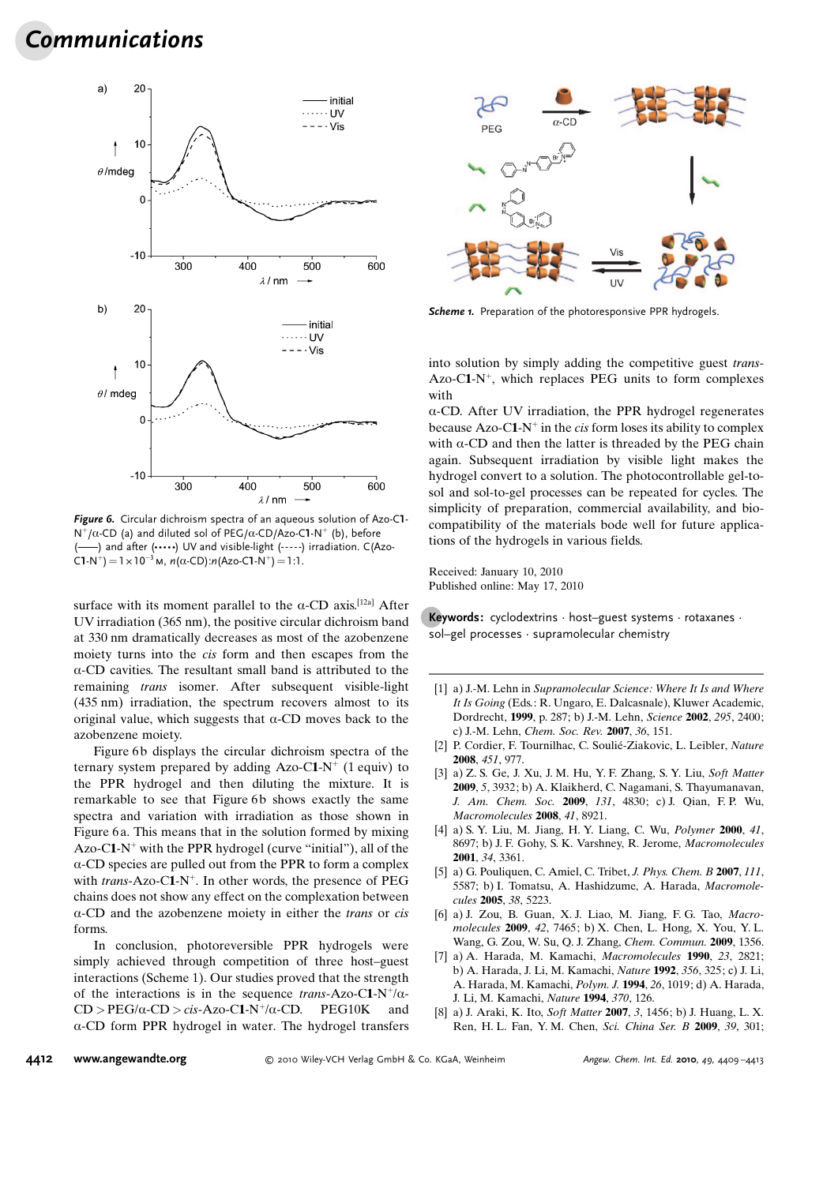## Communications



Figure 6. Circular dichroism spectra of an aqueous solution of Azo-C1-  $N^+/\alpha$ -CD (a) and diluted sol of PEG/ $\alpha$ -CD/Azo-C1-N<sup>+</sup> (b), before (Azo-) and after ( $...,$ ) UV and visible-light (----) irradiation. C(Azo-C1-N<sup>+</sup>) =  $1 \times 10^{-3}$  M,  $n(\alpha$ -CD): $n(Azo$ -C1-N<sup>+</sup>) = 1:1.

surface with its moment parallel to the  $\alpha$ -CD axis.<sup>[12a]</sup> After UV irradiation (365 nm), the positive circular dichroism band at 330 nm dramatically decreases as most of the azobenzene moiety turns into the cis form and then escapes from the  $\alpha$ -CD cavities. The resultant small band is attributed to the remaining trans isomer. After subsequent visible-light (435 nm) irradiation, the spectrum recovers almost to its original value, which suggests that  $\alpha$ -CD moves back to the azobenzene moiety.

Figure 6b displays the circular dichroism spectra of the ternary system prepared by adding Azo-C1-N<sup>+</sup> (1 equiv) to the PPR hydrogel and then diluting the mixture. It is remarkable to see that Figure 6b shows exactly the same spectra and variation with irradiation as those shown in Figure 6 a. This means that in the solution formed by mixing Azo-C1- $N^+$  with the PPR hydrogel (curve "initial"), all of the  $\alpha$ -CD species are pulled out from the PPR to form a complex with *trans*-Azo-C1-N<sup>+</sup>. In other words, the presence of PEG chains does not show any effect on the complexation between a-CD and the azobenzene moiety in either the trans or cis forms.

In conclusion, photoreversible PPR hydrogels were simply achieved through competition of three host–guest interactions (Scheme 1). Our studies proved that the strength of the interactions is in the sequence trans-Azo-C1-N<sup>+</sup>/ $\alpha$ - $CD > PEG/\alpha$ - $CD > cis$ -Azo-C1-N<sup>+</sup>/ $\alpha$ -CD. PEG10K and  $\alpha$ -CD form PPR hydrogel in water. The hydrogel transfers



Scheme 1. Preparation of the photoresponsive PPR hydrogels.

into solution by simply adding the competitive guest trans-Azo-C1-N<sup>+</sup>, which replaces PEG units to form complexes with

 $\alpha$ -CD. After UV irradiation, the PPR hydrogel regenerates because Azo-C1-N<sup>+</sup> in the *cis* form loses its ability to complex with  $\alpha$ -CD and then the latter is threaded by the PEG chain again. Subsequent irradiation by visible light makes the hydrogel convert to a solution. The photocontrollable gel-tosol and sol-to-gel processes can be repeated for cycles. The simplicity of preparation, commercial availability, and biocompatibility of the materials bode well for future applications of the hydrogels in various fields.

Received: January 10, 2010 Published online: May 17, 2010

**Keywords:** cyclodextrins  $\cdot$  host–guest systems  $\cdot$  rotaxanes  $\cdot$ sol–gel processes · supramolecular chemistry

- [1] a) J.-M. Lehn in Supramolecular Science: Where It Is and Where It Is Going (Eds.: R. Ungaro, E. Dalcasnale), Kluwer Academic, Dordrecht, 1999, p. 287; b) J.-M. Lehn, [Science](http://dx.doi.org/10.1126/science.1071063) 2002, 295, 2400; c) J.-M. Lehn, [Chem. Soc. Rev.](http://dx.doi.org/10.1039/b616752g) 2007, 36, 151.
- [2] P. Cordier, F. Tournilhac, C. Soulié-Ziakovic, L. Leibler, [Nature](http://dx.doi.org/10.1038/nature06669) 2008, 451[, 977.](http://dx.doi.org/10.1038/nature06669)
- [3] a) Z. S. Ge, J. Xu, J. M. Hu, Y. F. Zhang, S. Y. Liu, [Soft Matter](http://dx.doi.org/10.1039/b907906h) 2009, 5[, 3932](http://dx.doi.org/10.1039/b907906h); b) A. Klaikherd, C. Nagamani, S. Thayumanavan, [J. Am. Chem. Soc.](http://dx.doi.org/10.1021/ja809475a) 2009, 131, 4830; c) J. Qian, F.P. Wu, [Macromolecules](http://dx.doi.org/10.1021/ma8014189) 2008, 41, 8921.
- [4] a) S. Y. Liu, M. Jiang, H. Y. Liang, C. Wu, [Polymer](http://dx.doi.org/10.1016/S0032-3861(00)00265-2) 2000, 41, [8697](http://dx.doi.org/10.1016/S0032-3861(00)00265-2); b) J. F. Gohy, S. K. Varshney, R. Jerome, [Macromolecules](http://dx.doi.org/10.1021/ma0020483) 2001, 34[, 3361.](http://dx.doi.org/10.1021/ma0020483)
- [5] a) G. Pouliquen, C. Amiel, C. Tribet, *[J. Phys. Chem. B](http://dx.doi.org/10.1021/jp070798+)* 2007, 111, [5587](http://dx.doi.org/10.1021/jp070798+); b) I. Tomatsu, A. Hashidzume, A. Harada, [Macromole](http://dx.doi.org/10.1021/ma050670v)cules 2005, 38[, 5223](http://dx.doi.org/10.1021/ma050670v).
- [6] a) J. Zou, B. Guan, X. J. Liao, M. Jiang, F. G. Tao, [Macro](http://dx.doi.org/10.1021/ma901276c)[molecules](http://dx.doi.org/10.1021/ma901276c) 2009, 42, 7465; b) X. Chen, L. Hong, X. You, Y. L. Wang, G. Zou, W. Su, Q. J. Zhang, [Chem. Commun.](http://dx.doi.org/10.1039/b820894h) 2009, 1356.
- [7] a) A. Harada, M. Kamachi, [Macromolecules](http://dx.doi.org/10.1021/ma00212a039) 1990, 23, 2821; b) A. Harada, J. Li, M. Kamachi, [Nature](http://dx.doi.org/10.1038/356325a0) 1992, 356, 325; c) J. Li, A. Harada, M. Kamachi, [Polym. J.](http://dx.doi.org/10.1295/polymj.26.1019) 1994, 26, 1019; d) A. Harada, J. Li, M. Kamachi, [Nature](http://dx.doi.org/10.1038/370126a0) 1994, 370, 126.
- [8] a) J. Araki, K. Ito, [Soft Matter](http://dx.doi.org/10.1039/b705688e) 2007, 3, 1456; b) J. Huang, L. X. Ren, H. L. Fan, Y. M. Chen, Sci. China Ser. B 2009, 39, 301;